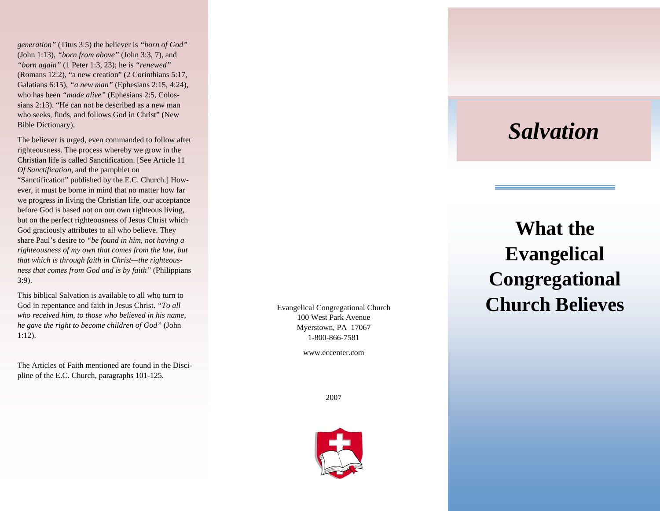*generation"* (Titus 3:5) the believer is *"born of God"*  (John 1:13), *"born from above"* (John 3:3, 7), and *"born again"* (1 Peter 1:3, 23); he is *"renewed"*  (Romans 12:2), "a new creation" (2 Corinthians 5:17, Galatians 6:15), *"a new man"* (Ephesians 2:15, 4:24), who has been *"made alive"* (Ephesians 2:5, Colossians 2:13). "He can not be described as a new man who seeks, finds, and follows God in Christ" (New Bible Dictionary).

The believer is urged, even commanded to follow after righteousness. The process whereby we grow in the Christian life is called Sanctification. [See Article 11 *Of Sanctification*, and the pamphlet on "Sanctification" published by the E.C. Church.] However, it must be borne in mind that no matter how far we progress in living the Christian life, our acceptance before God is based not on our own righteous living, but on the perfect righteousness of Jesus Christ which God graciously attributes to all who believe. They share Paul's desire to *"be found in him, not having a righteousness of my own that comes from the law, but that which is through faith in Christ—the righteousness that comes from God and is by faith"* (Philippians 3:9).

This biblical Salvation is available to all who turn to God in repentance and faith in Jesus Christ. *"To all who received him, to those who believed in his name, he gave the right to become children of God"* (John 1:12).

The Articles of Faith mentioned are found in the Discipline of the E.C. Church, paragraphs 101-125.

Evangelical Congregational Church 100 West Park Avenue Myerstown, PA 17067 1-800-866-7581

www.eccenter.com

## *Salvation*

## **What the Evangelical Congregational Church Believes**

2007